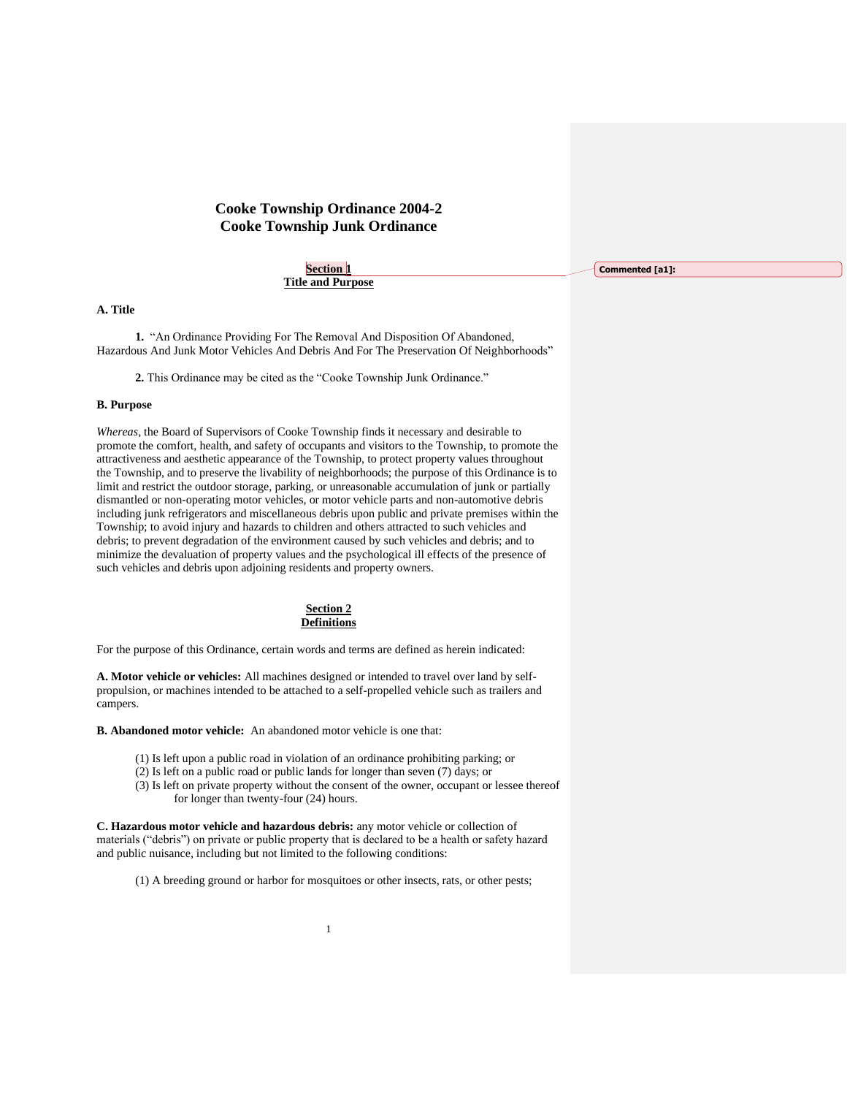# **Cooke Township Ordinance 2004-2 Cooke Township Junk Ordinance**

**Section 1 Title and Purpose**

**A. Title**

**1.** "An Ordinance Providing For The Removal And Disposition Of Abandoned, Hazardous And Junk Motor Vehicles And Debris And For The Preservation Of Neighborhoods"

**2.** This Ordinance may be cited as the "Cooke Township Junk Ordinance."

#### **B. Purpose**

*Whereas*, the Board of Supervisors of Cooke Township finds it necessary and desirable to promote the comfort, health, and safety of occupants and visitors to the Township, to promote the attractiveness and aesthetic appearance of the Township, to protect property values throughout the Township, and to preserve the livability of neighborhoods; the purpose of this Ordinance is to limit and restrict the outdoor storage, parking, or unreasonable accumulation of junk or partially dismantled or non-operating motor vehicles, or motor vehicle parts and non-automotive debris including junk refrigerators and miscellaneous debris upon public and private premises within the Township; to avoid injury and hazards to children and others attracted to such vehicles and debris; to prevent degradation of the environment caused by such vehicles and debris; and to minimize the devaluation of property values and the psychological ill effects of the presence of such vehicles and debris upon adjoining residents and property owners.



For the purpose of this Ordinance, certain words and terms are defined as herein indicated:

**A. Motor vehicle or vehicles:** All machines designed or intended to travel over land by selfpropulsion, or machines intended to be attached to a self-propelled vehicle such as trailers and campers.

**B. Abandoned motor vehicle:** An abandoned motor vehicle is one that:

- (1) Is left upon a public road in violation of an ordinance prohibiting parking; or
- (2) Is left on a public road or public lands for longer than seven (7) days; or
- (3) Is left on private property without the consent of the owner, occupant or lessee thereof for longer than twenty-four (24) hours.

**C. Hazardous motor vehicle and hazardous debris:** any motor vehicle or collection of materials ("debris") on private or public property that is declared to be a health or safety hazard and public nuisance, including but not limited to the following conditions:

(1) A breeding ground or harbor for mosquitoes or other insects, rats, or other pests;

**Commented [a1]:**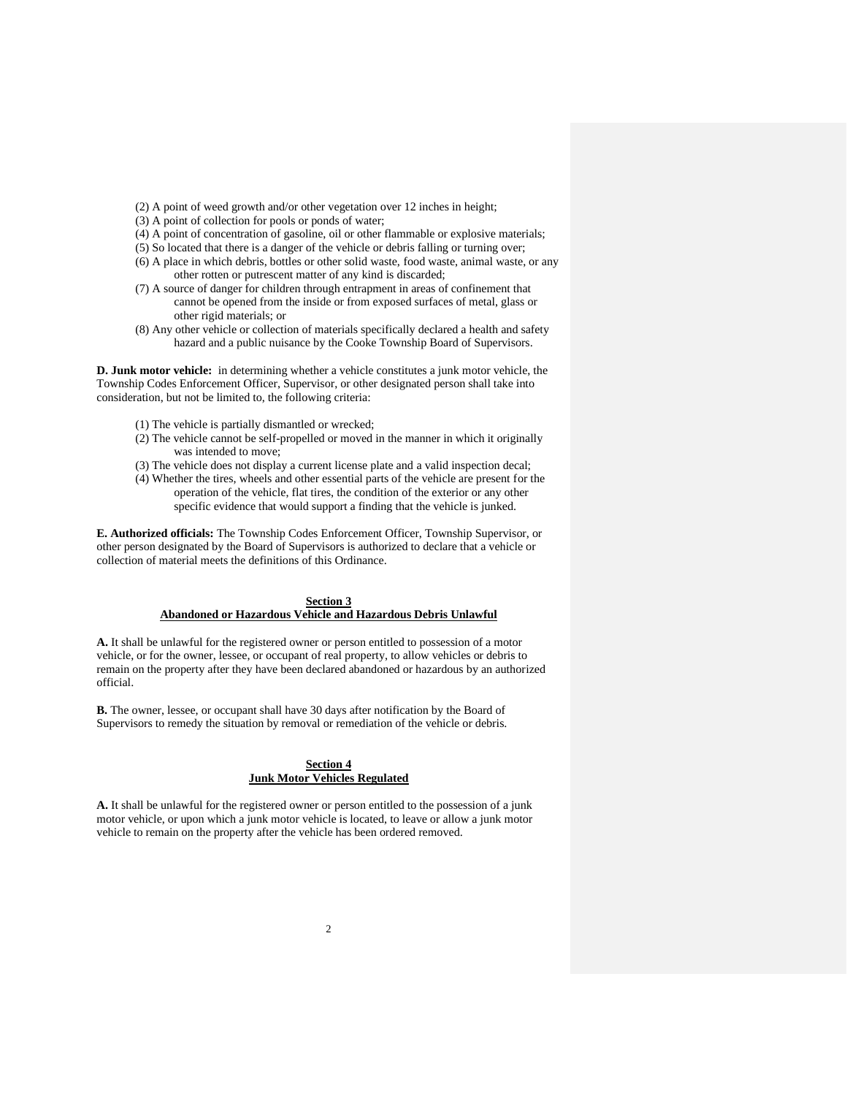- (2) A point of weed growth and/or other vegetation over 12 inches in height;
- (3) A point of collection for pools or ponds of water;
- (4) A point of concentration of gasoline, oil or other flammable or explosive materials;
- (5) So located that there is a danger of the vehicle or debris falling or turning over;
- (6) A place in which debris, bottles or other solid waste, food waste, animal waste, or any other rotten or putrescent matter of any kind is discarded;
- (7) A source of danger for children through entrapment in areas of confinement that cannot be opened from the inside or from exposed surfaces of metal, glass or other rigid materials; or
- (8) Any other vehicle or collection of materials specifically declared a health and safety hazard and a public nuisance by the Cooke Township Board of Supervisors.

**D. Junk motor vehicle:** in determining whether a vehicle constitutes a junk motor vehicle, the Township Codes Enforcement Officer, Supervisor, or other designated person shall take into consideration, but not be limited to, the following criteria:

- (1) The vehicle is partially dismantled or wrecked;
- (2) The vehicle cannot be self-propelled or moved in the manner in which it originally was intended to move;
- (3) The vehicle does not display a current license plate and a valid inspection decal;
- (4) Whether the tires, wheels and other essential parts of the vehicle are present for the operation of the vehicle, flat tires, the condition of the exterior or any other specific evidence that would support a finding that the vehicle is junked.

**E. Authorized officials:** The Township Codes Enforcement Officer, Township Supervisor, or other person designated by the Board of Supervisors is authorized to declare that a vehicle or collection of material meets the definitions of this Ordinance.

## **Section 3 Abandoned or Hazardous Vehicle and Hazardous Debris Unlawful**

**A.** It shall be unlawful for the registered owner or person entitled to possession of a motor vehicle, or for the owner, lessee, or occupant of real property, to allow vehicles or debris to remain on the property after they have been declared abandoned or hazardous by an authorized official.

**B.** The owner, lessee, or occupant shall have 30 days after notification by the Board of Supervisors to remedy the situation by removal or remediation of the vehicle or debris.

# **Section 4 Junk Motor Vehicles Regulated**

**A.** It shall be unlawful for the registered owner or person entitled to the possession of a junk motor vehicle, or upon which a junk motor vehicle is located, to leave or allow a junk motor vehicle to remain on the property after the vehicle has been ordered removed.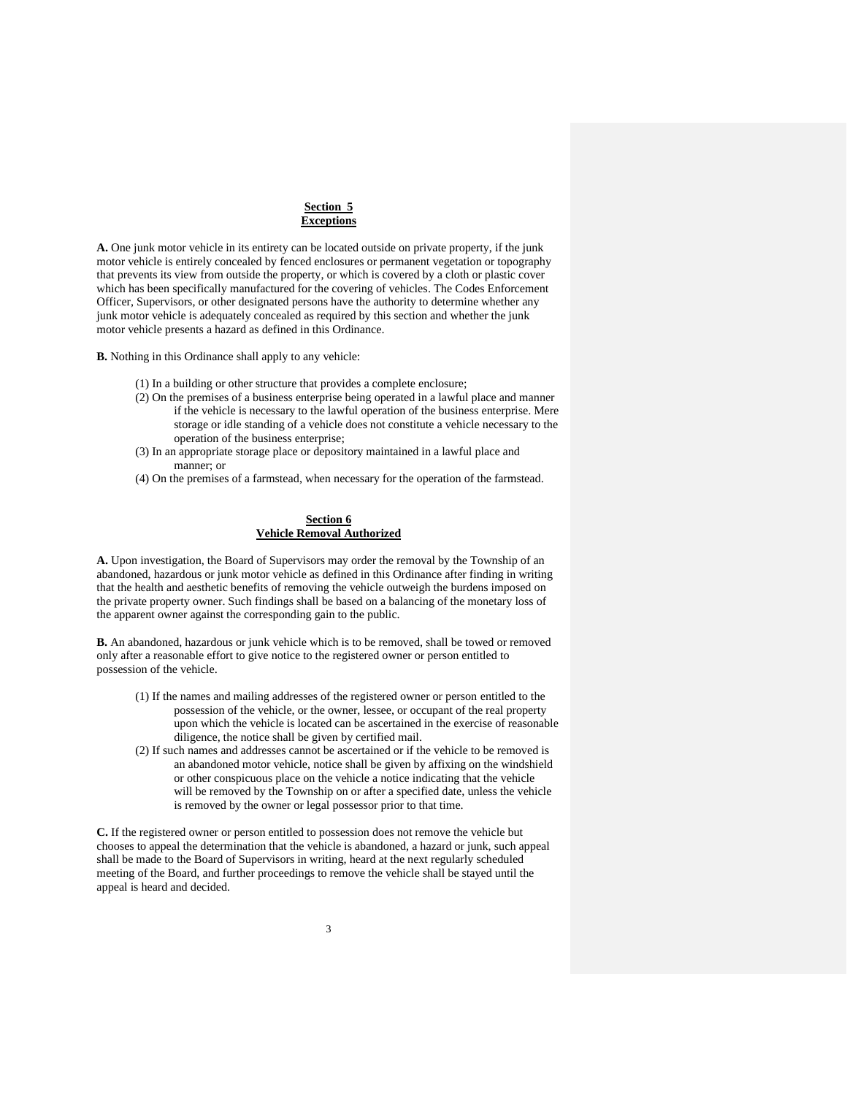#### **Section 5 Exceptions**

**A.** One junk motor vehicle in its entirety can be located outside on private property, if the junk motor vehicle is entirely concealed by fenced enclosures or permanent vegetation or topography that prevents its view from outside the property, or which is covered by a cloth or plastic cover which has been specifically manufactured for the covering of vehicles. The Codes Enforcement Officer, Supervisors, or other designated persons have the authority to determine whether any junk motor vehicle is adequately concealed as required by this section and whether the junk motor vehicle presents a hazard as defined in this Ordinance.

**B.** Nothing in this Ordinance shall apply to any vehicle:

- (1) In a building or other structure that provides a complete enclosure;
- (2) On the premises of a business enterprise being operated in a lawful place and manner if the vehicle is necessary to the lawful operation of the business enterprise. Mere storage or idle standing of a vehicle does not constitute a vehicle necessary to the operation of the business enterprise;
- (3) In an appropriate storage place or depository maintained in a lawful place and manner; or
- (4) On the premises of a farmstead, when necessary for the operation of the farmstead.

# **Section 6 Vehicle Removal Authorized**

**A.** Upon investigation, the Board of Supervisors may order the removal by the Township of an abandoned, hazardous or junk motor vehicle as defined in this Ordinance after finding in writing that the health and aesthetic benefits of removing the vehicle outweigh the burdens imposed on the private property owner. Such findings shall be based on a balancing of the monetary loss of the apparent owner against the corresponding gain to the public.

**B.** An abandoned, hazardous or junk vehicle which is to be removed, shall be towed or removed only after a reasonable effort to give notice to the registered owner or person entitled to possession of the vehicle.

- (1) If the names and mailing addresses of the registered owner or person entitled to the possession of the vehicle, or the owner, lessee, or occupant of the real property upon which the vehicle is located can be ascertained in the exercise of reasonable diligence, the notice shall be given by certified mail.
- (2) If such names and addresses cannot be ascertained or if the vehicle to be removed is an abandoned motor vehicle, notice shall be given by affixing on the windshield or other conspicuous place on the vehicle a notice indicating that the vehicle will be removed by the Township on or after a specified date, unless the vehicle is removed by the owner or legal possessor prior to that time.

**C.** If the registered owner or person entitled to possession does not remove the vehicle but chooses to appeal the determination that the vehicle is abandoned, a hazard or junk, such appeal shall be made to the Board of Supervisors in writing, heard at the next regularly scheduled meeting of the Board, and further proceedings to remove the vehicle shall be stayed until the appeal is heard and decided.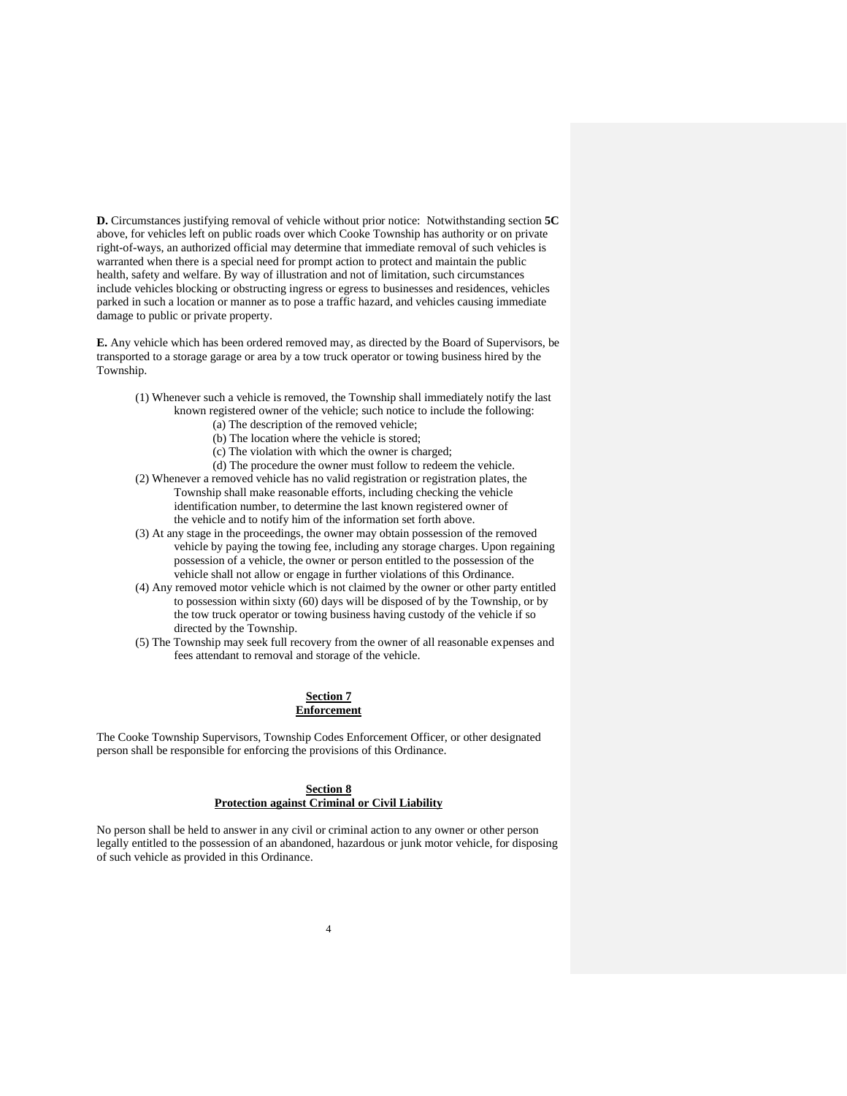**D.** Circumstances justifying removal of vehicle without prior notice: Notwithstanding section **5C** above, for vehicles left on public roads over which Cooke Township has authority or on private right-of-ways, an authorized official may determine that immediate removal of such vehicles is warranted when there is a special need for prompt action to protect and maintain the public health, safety and welfare. By way of illustration and not of limitation, such circumstances include vehicles blocking or obstructing ingress or egress to businesses and residences, vehicles parked in such a location or manner as to pose a traffic hazard, and vehicles causing immediate damage to public or private property.

**E.** Any vehicle which has been ordered removed may, as directed by the Board of Supervisors, be transported to a storage garage or area by a tow truck operator or towing business hired by the Township.

- (1) Whenever such a vehicle is removed, the Township shall immediately notify the last known registered owner of the vehicle; such notice to include the following:
	- (a) The description of the removed vehicle;
	- (b) The location where the vehicle is stored;
	- (c) The violation with which the owner is charged;
	- (d) The procedure the owner must follow to redeem the vehicle.
- (2) Whenever a removed vehicle has no valid registration or registration plates, the Township shall make reasonable efforts, including checking the vehicle identification number, to determine the last known registered owner of the vehicle and to notify him of the information set forth above.
- (3) At any stage in the proceedings, the owner may obtain possession of the removed vehicle by paying the towing fee, including any storage charges. Upon regaining possession of a vehicle, the owner or person entitled to the possession of the vehicle shall not allow or engage in further violations of this Ordinance.
- (4) Any removed motor vehicle which is not claimed by the owner or other party entitled to possession within sixty (60) days will be disposed of by the Township, or by the tow truck operator or towing business having custody of the vehicle if so directed by the Township.
- (5) The Township may seek full recovery from the owner of all reasonable expenses and fees attendant to removal and storage of the vehicle.

### **Section 7 Enforcement**

The Cooke Township Supervisors, Township Codes Enforcement Officer, or other designated person shall be responsible for enforcing the provisions of this Ordinance.

### **Section 8 Protection against Criminal or Civil Liability**

No person shall be held to answer in any civil or criminal action to any owner or other person legally entitled to the possession of an abandoned, hazardous or junk motor vehicle, for disposing of such vehicle as provided in this Ordinance.